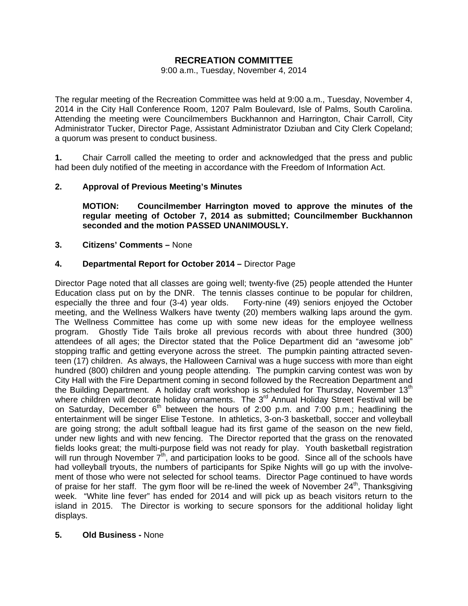# **RECREATION COMMITTEE**

#### 9:00 a.m., Tuesday, November 4, 2014

The regular meeting of the Recreation Committee was held at 9:00 a.m., Tuesday, November 4, 2014 in the City Hall Conference Room, 1207 Palm Boulevard, Isle of Palms, South Carolina. Attending the meeting were Councilmembers Buckhannon and Harrington, Chair Carroll, City Administrator Tucker, Director Page, Assistant Administrator Dziuban and City Clerk Copeland; a quorum was present to conduct business.

**1.** Chair Carroll called the meeting to order and acknowledged that the press and public had been duly notified of the meeting in accordance with the Freedom of Information Act.

# **2. Approval of Previous Meeting's Minutes**

 **MOTION: Councilmember Harrington moved to approve the minutes of the regular meeting of October 7, 2014 as submitted; Councilmember Buckhannon seconded and the motion PASSED UNANIMOUSLY.** 

## **3. Citizens' Comments –** None

## **4. Departmental Report for October 2014 –** Director Page

Director Page noted that all classes are going well; twenty-five (25) people attended the Hunter Education class put on by the DNR. The tennis classes continue to be popular for children, especially the three and four (3-4) year olds. Forty-nine (49) seniors enjoyed the October meeting, and the Wellness Walkers have twenty (20) members walking laps around the gym. The Wellness Committee has come up with some new ideas for the employee wellness program. Ghostly Tide Tails broke all previous records with about three hundred (300) attendees of all ages; the Director stated that the Police Department did an "awesome job" stopping traffic and getting everyone across the street. The pumpkin painting attracted seventeen (17) children. As always, the Halloween Carnival was a huge success with more than eight hundred (800) children and young people attending. The pumpkin carving contest was won by City Hall with the Fire Department coming in second followed by the Recreation Department and the Building Department. A holiday craft workshop is scheduled for Thursday, November  $13<sup>th</sup>$ where children will decorate holiday ornaments. The 3<sup>rd</sup> Annual Holiday Street Festival will be on Saturday, December  $6<sup>th</sup>$  between the hours of 2:00 p.m. and 7:00 p.m.; headlining the entertainment will be singer Elise Testone. In athletics, 3-on-3 basketball, soccer and volleyball are going strong; the adult softball league had its first game of the season on the new field, under new lights and with new fencing. The Director reported that the grass on the renovated fields looks great; the multi-purpose field was not ready for play. Youth basketball registration will run through November  $7<sup>th</sup>$ , and participation looks to be good. Since all of the schools have had volleyball tryouts, the numbers of participants for Spike Nights will go up with the involvement of those who were not selected for school teams. Director Page continued to have words of praise for her staff. The gym floor will be re-lined the week of November  $24<sup>th</sup>$ , Thanksgiving week. "White line fever" has ended for 2014 and will pick up as beach visitors return to the island in 2015. The Director is working to secure sponsors for the additional holiday light displays.

#### **5. Old Business -** None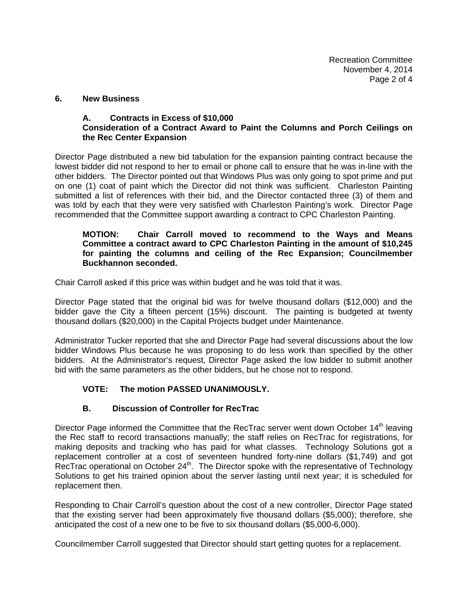#### **6. New Business**

## **A. Contracts in Excess of \$10,000 Consideration of a Contract Award to Paint the Columns and Porch Ceilings on the Rec Center Expansion**

Director Page distributed a new bid tabulation for the expansion painting contract because the lowest bidder did not respond to her to email or phone call to ensure that he was in-line with the other bidders. The Director pointed out that Windows Plus was only going to spot prime and put on one (1) coat of paint which the Director did not think was sufficient. Charleston Painting submitted a list of references with their bid, and the Director contacted three (3) of them and was told by each that they were very satisfied with Charleston Painting's work. Director Page recommended that the Committee support awarding a contract to CPC Charleston Painting.

## **MOTION: Chair Carroll moved to recommend to the Ways and Means Committee a contract award to CPC Charleston Painting in the amount of \$10,245 for painting the columns and ceiling of the Rec Expansion; Councilmember Buckhannon seconded.**

Chair Carroll asked if this price was within budget and he was told that it was.

Director Page stated that the original bid was for twelve thousand dollars (\$12,000) and the bidder gave the City a fifteen percent (15%) discount. The painting is budgeted at twenty thousand dollars (\$20,000) in the Capital Projects budget under Maintenance.

Administrator Tucker reported that she and Director Page had several discussions about the low bidder Windows Plus because he was proposing to do less work than specified by the other bidders. At the Administrator's request, Director Page asked the low bidder to submit another bid with the same parameters as the other bidders, but he chose not to respond.

# **VOTE: The motion PASSED UNANIMOUSLY.**

# **B. Discussion of Controller for RecTrac**

Director Page informed the Committee that the RecTrac server went down October 14<sup>th</sup> leaving the Rec staff to record transactions manually; the staff relies on RecTrac for registrations, for making deposits and tracking who has paid for what classes. Technology Solutions got a replacement controller at a cost of seventeen hundred forty-nine dollars (\$1,749) and got RecTrac operational on October  $24<sup>th</sup>$ . The Director spoke with the representative of Technology Solutions to get his trained opinion about the server lasting until next year; it is scheduled for replacement then.

Responding to Chair Carroll's question about the cost of a new controller, Director Page stated that the existing server had been approximately five thousand dollars (\$5,000); therefore, she anticipated the cost of a new one to be five to six thousand dollars (\$5,000-6,000).

Councilmember Carroll suggested that Director should start getting quotes for a replacement.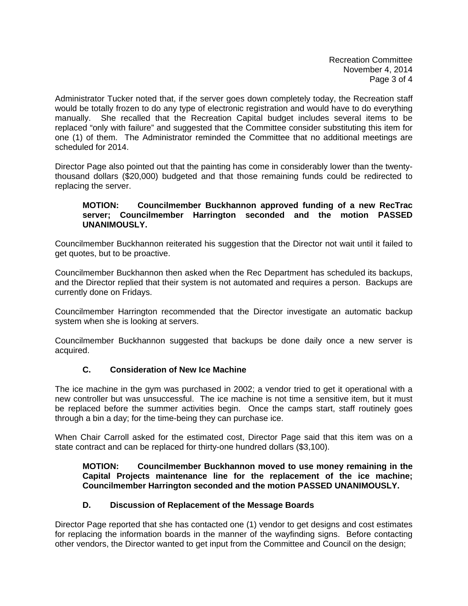Recreation Committee November 4, 2014 Page 3 of 4

Administrator Tucker noted that, if the server goes down completely today, the Recreation staff would be totally frozen to do any type of electronic registration and would have to do everything manually. She recalled that the Recreation Capital budget includes several items to be replaced "only with failure" and suggested that the Committee consider substituting this item for one (1) of them. The Administrator reminded the Committee that no additional meetings are scheduled for 2014.

Director Page also pointed out that the painting has come in considerably lower than the twentythousand dollars (\$20,000) budgeted and that those remaining funds could be redirected to replacing the server.

#### **MOTION: Councilmember Buckhannon approved funding of a new RecTrac server; Councilmember Harrington seconded and the motion PASSED UNANIMOUSLY.**

Councilmember Buckhannon reiterated his suggestion that the Director not wait until it failed to get quotes, but to be proactive.

Councilmember Buckhannon then asked when the Rec Department has scheduled its backups, and the Director replied that their system is not automated and requires a person. Backups are currently done on Fridays.

Councilmember Harrington recommended that the Director investigate an automatic backup system when she is looking at servers.

Councilmember Buckhannon suggested that backups be done daily once a new server is acquired.

# **C. Consideration of New Ice Machine**

The ice machine in the gym was purchased in 2002; a vendor tried to get it operational with a new controller but was unsuccessful. The ice machine is not time a sensitive item, but it must be replaced before the summer activities begin. Once the camps start, staff routinely goes through a bin a day; for the time-being they can purchase ice.

When Chair Carroll asked for the estimated cost, Director Page said that this item was on a state contract and can be replaced for thirty-one hundred dollars (\$3,100).

**MOTION: Councilmember Buckhannon moved to use money remaining in the Capital Projects maintenance line for the replacement of the ice machine; Councilmember Harrington seconded and the motion PASSED UNANIMOUSLY.** 

# **D. Discussion of Replacement of the Message Boards**

Director Page reported that she has contacted one (1) vendor to get designs and cost estimates for replacing the information boards in the manner of the wayfinding signs. Before contacting other vendors, the Director wanted to get input from the Committee and Council on the design;